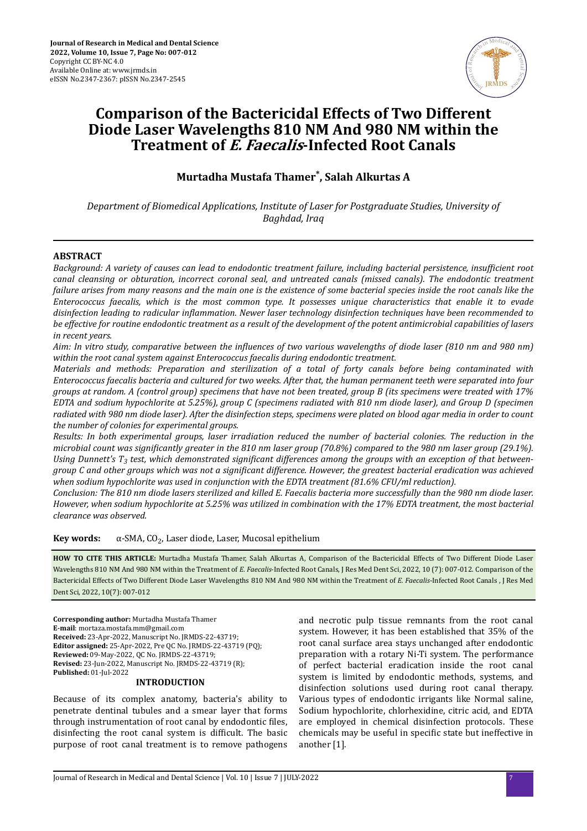

# **Comparison of the Bactericidal Effects of Two Different Diode Laser Wavelengths 810 NM And 980 NM within the Treatment of E. Faecalis-Infected Root Canals**

**Murtadha Mustafa Thamer\* , Salah Alkurtas A**

*Department of Biomedical Applications, Institute of Laser for Postgraduate Studies, University of Baghdad, Iraq*

## **ABSTRACT**

*Background: A variety of causes can lead to endodontic treatment failure, including bacterial persistence, insufficient root canal cleansing or obturation, incorrect coronal seal, and untreated canals (missed canals). The endodontic treatment failure arises from many reasons and the main one is the existence of some bacterial species inside the root canals like the Enterococcus faecalis, which is the most common type. It possesses unique characteristics that enable it to evade disinfection leading to radicular inflammation. Newer laser technology disinfection techniques have been recommended to be effective for routine endodontic treatment as a result of the development of the potent antimicrobial capabilities of lasers in recent years.*

*Aim: In vitro study, comparative between the nϔluenes of two various wavelengths of diode laser (810 nm and 980 nm) within the root canal system against Enterococcus faecalis during endodontic treatment.*

*Materials and methods: Preparation and sterilization of a total of forty canals before being contaminated with Enterococcus faecalis bacteria and cultured for two weeks. After that, the human permanent teeth were separated into four groups at random. A (control group) specimens that have not been treated, group B (its specimens were treated with 17% EDTA and sodium hypochlorite at 5.25%), group C (specimens radiated with 810 nm diode laser), and Group D (specimen radiated with 980 nm diode laser). After the disinfection steps, specimens were plated on blood agar media in order to count the number of colonies for experimental groups.*

*Results: In both experimental groups, laser irradiation reduced the number of bacterial colonies. The reduction in the microbial count was significantly greater in the 810 nm laser group (70.8%) compared to the 980 nm laser group (29.1%).* Using Dunnett's T<sub>3</sub> test, which demonstrated significant differences among the groups with an exception of that between*group C and other groups which was not a significant difference. However, the greatest bacterial eradication was achieved when sodium hypochlorite was used in conjunction with the EDTA treatment (81.6% CFU/ml reduction).*

*Conclusion: The 810 nm diode lasers sterilized and killed E. Faecalis bacteria more successfully than the 980 nm diode laser. However, when sodium hypochlorite at 5.25% was utilized in combination with the 17% EDTA treatment, the most bacterial clearance was observed.*

**Key words:** α-SMA, CO<sub>2</sub>, Laser diode, Laser, Mucosal epithelium

**HOW TO CITE THIS ARTICLE:** Murtadha Mustafa Thamer, Salah Alkurtas A, Comparison of the Bactericidal Effects of Two Different Diode Laser Wavelengths 810 NM And 980 NM within the Treatment of *E. Faecalis*-Infected Root Canals, J Res Med Dent Sci, 2022, 10 (7): 007-012. Comparison of the Bactericidal Effects of Two Different Diode Laser Wavelengths 810 NM And 980 NM within the Treatment of *E. Faecalis*-Infected Root Canals , J Res Med Dent Sci, 2022, 10(7): 007-012

**Corresponding author:** Murtadha Mustafa Thamer **E-mail**: mortaza.mostafa.mm@gmail.com **Received:** 23-Apr-2022, Manuscript No. JRMDS-22-43719; **Editor assigned:** 25-Apr-2022, Pre QC No. JRMDS-22-43719 (PQ); **Reviewed:** 09-May-2022, QC No. JRMDS-22-43719; **Revised:** 23-Jun-2022, Manuscript No. JRMDS-22-43719 (R); **Published:** 01-Jul-2022

#### **INTRODUCTION**

Because of its complex anatomy, bacteria's ability to penetrate dentinal tubules and a smear layer that forms through instrumentation of root canal by endodontic files, disinfecting the root canal system is difficult. The basic purpose of root canal treatment is to remove pathogens and necrotic pulp tissue remnants from the root canal system. However, it has been established that 35% of the root canal surface area stays unchanged after endodontic preparation with a rotary Ni-Ti system. The performance of perfect bacterial eradication inside the root canal system is limited by endodontic methods, systems, and disinfection solutions used during root canal therapy. Various types of endodontic irrigants like Normal saline, Sodium hypochlorite, chlorhexidine, citric acid, and EDTA are employed in chemical disinfection protocols. These chemicals may be useful in specific state but ineffective in another [1].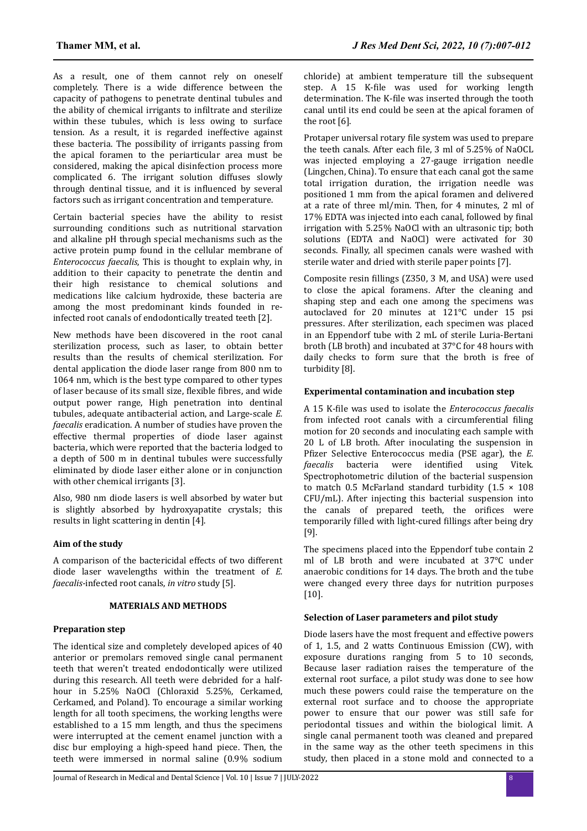As a result, one of them cannot rely on oneself completely. There is a wide difference between the capacity of pathogens to penetrate dentinal tubules and the ability of chemical irrigants to infiltrate and sterilize within these tubules, which is less owing to surface tension. As a result, it is regarded ineffective against these bacteria. The possibility of irrigants passing from the apical foramen to the periarticular area must be considered, making the apical disinfection process more complicated 6. The irrigant solution diffuses slowly through dentinal tissue, and it is influenced by several factors such as irrigant concentration and temperature.

Certain bacterial species have the ability to resist surrounding conditions such as nutritional starvation and alkaline pH through special mechanisms such as the active protein pump found in the cellular membrane of *Enterococcus faecalis*, This is thought to explain why, in addition to their capacity to penetrate the dentin and their high resistance to chemical solutions and medications like calcium hydroxide, these bacteria are among the most predominant kinds founded in reinfected root canals of endodontically treated teeth [2].

New methods have been discovered in the root canal sterilization process, such as laser, to obtain better results than the results of chemical sterilization. For dental application the diode laser range from 800 nm to 1064 nm, which is the best type compared to other types of laser because of its small size, flexible fibres, and wide output power range, High penetration into dentinal tubules, adequate antibacterial action, and Large-scale *E. faecalis* eradication. A number of studies have proven the effective thermal properties of diode laser against bacteria, which were reported that the bacteria lodged to a depth of 500 m in dentinal tubules were successfully eliminated by diode laser either alone or in conjunction with other chemical irrigants [3].

Also, 980 nm diode lasers is well absorbed by water but is slightly absorbed by hydroxyapatite crystals; this results in light scattering in dentin [4].

# **Aim of the study**

A comparison of the bactericidal effects of two different diode laser wavelengths within the treatment of *E. faecalis-*infected root canals, *in vitro* study [5].

## **MATERIALS AND METHODS**

## **Preparation step**

The identical size and completely developed apices of 40 anterior or premolars removed single canal permanent teeth that weren't treated endodontically were utilized during this research. All teeth were debrided for a halfhour in 5.25% NaOCl (Chloraxid 5.25%, Cerkamed, Cerkamed, and Poland). To encourage a similar working length for all tooth specimens, the working lengths were established to a 15 mm length, and thus the specimens were interrupted at the cement enamel junction with a disc bur employing a high-speed hand piece. Then, the teeth were immersed in normal saline (0.9% sodium

chloride) at ambient temperature till the subsequent step. A 15 K-file was used for working length determination. The K-file was inserted through the tooth canal until its end could be seen at the apical foramen of the root [6].

Protaper universal rotary file system was used to prepare the teeth canals. After each file, 3 ml of 5.25% of NaOCL was injected employing a 27-gauge irrigation needle (Lingchen, China). To ensure that each canal got the same total irrigation duration, the irrigation needle was positioned 1 mm from the apical foramen and delivered at a rate of three ml/min. Then, for 4 minutes, 2 ml of 17% EDTA was injected into each canal, followed by final irrigation with 5.25% NaOCl with an ultrasonic tip; both solutions (EDTA and NaOCl) were activated for 30 seconds. Finally, all specimen canals were washed with sterile water and dried with sterile paper points [7].

Composite resin fillings  $(Z350, 3 M,$  and USA) were used to close the apical foramens. After the cleaning and shaping step and each one among the specimens was autoclaved for 20 minutes at 121°C under 15 psi pressures. After sterilization, each specimen was placed in an Eppendorf tube with 2 mL of sterile Luria-Bertani broth (LB broth) and incubated at 37°C for 48 hours with daily checks to form sure that the broth is free of turbidity [8].

## **Experimental contamination and incubation step**

A 15 K-file was used to isolate the *Enterococcus faecalis* from infected root canals with a circumferential filing motion for 20 seconds and inoculating each sample with 20 L of LB broth. After inoculating the suspension in Pfizer Selective Enterococcus media (PSE agar), the *E*. *faecalis* bacteria were identified using Vitek. Spectrophotometric dilution of the bacterial suspension to match 0.5 McFarland standard turbidity  $(1.5 \times 108)$ CFU/mL). After injecting this bacterial suspension into the canals of prepared teeth, the orifices were temporarily filled with light-cured fillings after being dry [9].

The specimens placed into the Eppendorf tube contain 2 ml of LB broth and were incubated at 37°C under anaerobic conditions for 14 days. The broth and the tube were changed every three days for nutrition purposes [10].

## **Selection of Laser parameters and pilot study**

Diode lasers have the most frequent and effective powers of 1, 1.5, and 2 watts Continuous Emission (CW), with exposure durations ranging from 5 to 10 seconds, Because laser radiation raises the temperature of the external root surface, a pilot study was done to see how much these powers could raise the temperature on the external root surface and to choose the appropriate power to ensure that our power was still safe for periodontal tissues and within the biological limit. A single canal permanent tooth was cleaned and prepared in the same way as the other teeth specimens in this study, then placed in a stone mold and connected to a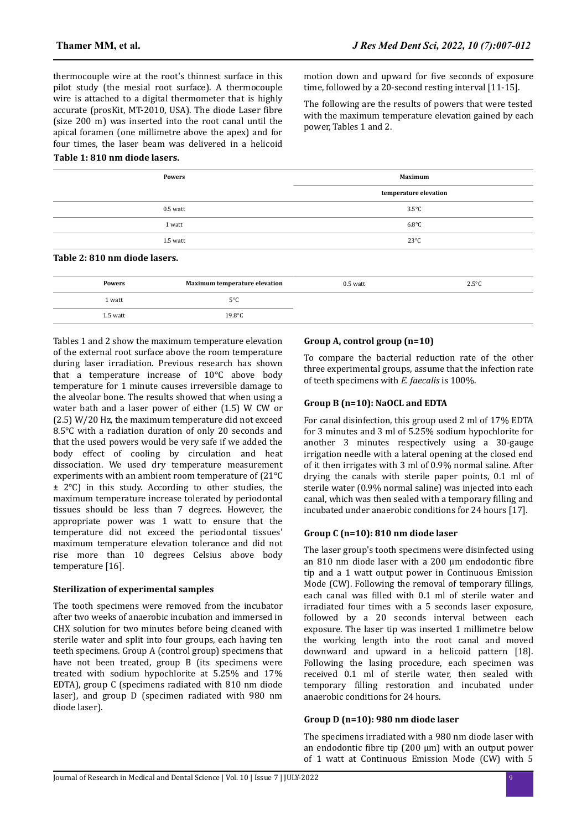thermocouple wire at the root's thinnest surface in this pilot study (the mesial root surface). A thermocouple wire is attached to a digital thermometer that is highly accurate (prosKit, MT-2010, USA). The diode Laser fibre (size 200 m) was inserted into the root canal until the apical foramen (one millimetre above the apex) and for four times, the laser beam was delivered in a helicoid

## **Table 1: 810 nm diode lasers.**

|  | motion down and upward for five seconds of exposure     |
|--|---------------------------------------------------------|
|  | time, followed by a 20-second resting interval [11-15]. |

The following are the results of powers that were tested with the maximum temperature elevation gained by each power, Tables 1 and 2.

| <b>Powers</b>                 | <b>Maximum</b>        |  |  |
|-------------------------------|-----------------------|--|--|
|                               | temperature elevation |  |  |
| $0.5$ watt                    | $3.5^{\circ}$ C       |  |  |
| 1 watt                        | $6.8^{\circ}$ C       |  |  |
| 1.5 watt                      | $23^{\circ}$ C        |  |  |
| Table 2: 810 nm diode lasers. |                       |  |  |

| <b>Powers</b> | <b>Maximum temperature elevation</b> | $0.5$ watt | $2.5^{\circ}$ C |
|---------------|--------------------------------------|------------|-----------------|
| 1 watt        | 5°C                                  |            |                 |
| 1.5 watt      | $19.8^{\circ}$ C                     |            |                 |

Tables 1 and 2 show the maximum temperature elevation of the external root surface above the room temperature during laser irradiation. Previous research has shown that a temperature increase of 10°C above body temperature for 1 minute causes irreversible damage to the alveolar bone. The results showed that when using a water bath and a laser power of either (1.5) W CW or (2.5) W/20 Hz, the maximum temperature did not exceed 8.5°C with a radiation duration of only 20 seconds and that the used powers would be very safe if we added the body effect of cooling by circulation and heat dissociation. We used dry temperature measurement experiments with an ambient room temperature of (21°C ± 2°C) in this study. According to other studies, the maximum temperature increase tolerated by periodontal tissues should be less than 7 degrees. However, the appropriate power was 1 watt to ensure that the temperature did not exceed the periodontal tissues' maximum temperature elevation tolerance and did not rise more than 10 degrees Celsius above body temperature [16].

## **Sterilization of experimental samples**

The tooth specimens were removed from the incubator after two weeks of anaerobic incubation and immersed in CHX solution for two minutes before being cleaned with sterile water and split into four groups, each having ten teeth specimens. Group A (control group) specimens that have not been treated, group B (its specimens were treated with sodium hypochlorite at 5.25% and 17% EDTA), group C (specimens radiated with 810 nm diode laser), and group D (specimen radiated with 980 nm diode laser).

## **Group A, control group (n=10)**

To compare the bacterial reduction rate of the other three experimental groups, assume that the infection rate of teeth specimens with *E. faecalis* is 100%.

# **Group B (n=10): NaOCL and EDTA**

For canal disinfection, this group used 2 ml of 17% EDTA for 3 minutes and 3 ml of 5.25% sodium hypochlorite for another 3 minutes respectively using a 30-gauge irrigation needle with a lateral opening at the closed end of it then irrigates with 3 ml of 0.9% normal saline. After drying the canals with sterile paper points, 0.1 ml of sterile water (0.9% normal saline) was injected into each canal, which was then sealed with a temporary filling and incubated under anaerobic conditions for 24 hours [17].

## **Group C (n=10): 810 nm diode laser**

The laser group's tooth specimens were disinfected using an 810 nm diode laser with a  $200 \mu$ m endodontic fibre tip and a 1 watt output power in Continuous Emission Mode (CW). Following the removal of temporary fillings, each canal was filled with 0.1 ml of sterile water and irradiated four times with a 5 seconds laser exposure, followed by a 20 seconds interval between each exposure. The laser tip was inserted 1 millimetre below the working length into the root canal and moved downward and upward in a helicoid pattern [18]. Following the lasing procedure, each specimen was received 0.1 ml of sterile water, then sealed with temporary filling restoration and incubated under anaerobic conditions for 24 hours.

## **Group D (n=10): 980 nm diode laser**

The specimens irradiated with a 980 nm diode laser with an endodontic fibre tip  $(200 \mu m)$  with an output power of 1 watt at Continuous Emission Mode (CW) with 5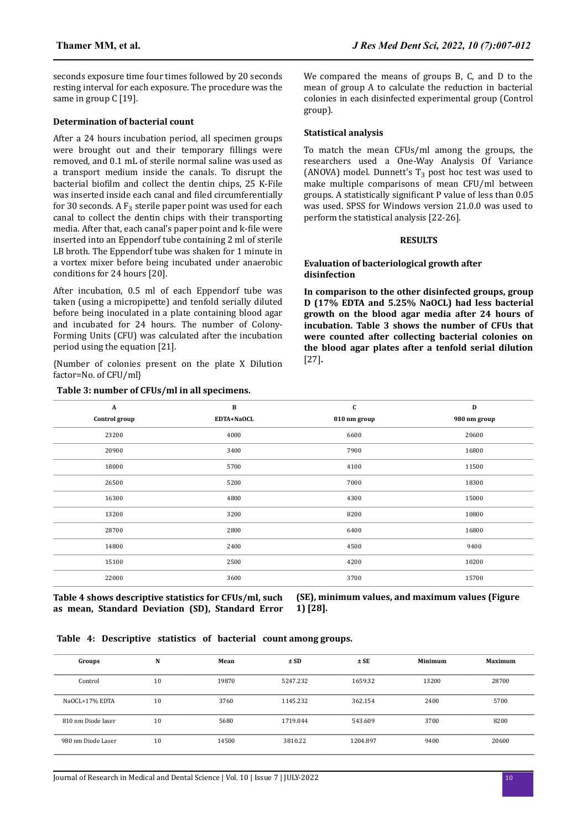seconds exposure time four times followed by 20 seconds resting interval for each exposure. The procedure was the same in group C [19].

#### **Determination of bacterial count**

After a 24 hours incubation period, all specimen groups were brought out and their temporary fillings were removed, and 0.1 mL of sterile normal saline was used as a transport medium inside the canals. To disrupt the bacterial biofilm and collect the dentin chips, 25 K-File was inserted inside each canal and filed circumferentially for 30 seconds. A  $F_3$  sterile paper point was used for each canal to collect the dentin chips with their transporting media. After that, each canal's paper point and k-file were inserted into an Eppendorf tube containing 2 ml of sterile LB broth. The Eppendorf tube was shaken for 1 minute in a vortex mixer before being incubated under anaerobic conditions for 24 hours [20].

After incubation, 0.5 ml of each Eppendorf tube was taken (using a micropipette) and tenfold serially diluted before being inoculated in a plate containing blood agar and incubated for 24 hours. The number of Colony-Forming Units (CFU) was calculated after the incubation period using the equation [21].

{Number of colonies present on the plate X Dilution factor=No. of CFU/ml}

#### **Table 3: number of CFUs/ml in all specimens.**

We compared the means of groups B, C, and D to the mean of group A to calculate the reduction in bacterial colonies in each disinfected experimental group (Control group).

#### **Statistical analysis**

To match the mean CFUs/ml among the groups, the researchers used a One-Way Analysis Of Variance (ANOVA) model. Dunnett's  $T_3$  post hoc test was used to make multiple comparisons of mean CFU/ml between groups. A statistically significant P value of less than 0.05 was used. SPSS for Windows version 21.0.0 was used to perform the statistical analysis [22-26].

#### **RESULTS**

#### **Evaluation of bacteriological growth after disinfection**

**In comparison to the other disinfected groups, group D (17% EDTA and 5.25% NaOCL) had less bacterial growth on the blood agar media after 24 hours of incubation. Table 3 shows the number of CFUs that were counted after collecting bacterial colonies on the blood agar plates after a tenfold serial dilution** [27]**.**

| $\mathbf A$   | $\, {\bf B}$ | C            | D            |
|---------------|--------------|--------------|--------------|
| Control group | EDTA+NaOCL   | 810 nm group | 980 nm group |
| 23200         | 4000         | 6600         | 20600        |
| 20900         | 3400         | 7900         | 16800        |
| 18000         | 5700         | 4100         | 11500        |
| 26500         | 5200         | 7000         | 18300        |
| 16300         | 4800         | 4300         | 15000        |
| 13200         | 3200         | 8200         | 10800        |
| 28700         | 2800         | 6400         | 16800        |
| 14800         | 2400         | 4500         | 9400         |
| 15100         | 2500         | 4200         | 10200        |
| 22000         | 3600         | 3700         | 15700        |
|               |              |              |              |

**Table 4 shows descriptive statistics for CFUs/ml, such as mean, Standard Deviation (SD), Standard Error** **(SE), minimum values, and maximum values (Figure 1) [28].**

|  |  |  |  |  |  | Table 4: Descriptive statistics of bacterial count among groups. |
|--|--|--|--|--|--|------------------------------------------------------------------|
|--|--|--|--|--|--|------------------------------------------------------------------|

| Groups             | N  | Mean  | ± SD     | $±$ SE   | Minimum | <b>Maximum</b> |
|--------------------|----|-------|----------|----------|---------|----------------|
| Control            | 10 | 19870 | 5247.232 | 1659.32  | 13200   | 28700          |
| NaOCL+17% EDTA     | 10 | 3760  | 1145.232 | 362.154  | 2400    | 5700           |
| 810 nm Diode laser | 10 | 5680  | 1719.044 | 543.609  | 3700    | 8200           |
| 980 nm Diode Laser | 10 | 14500 | 3810.22  | 1204.897 | 9400    | 20600          |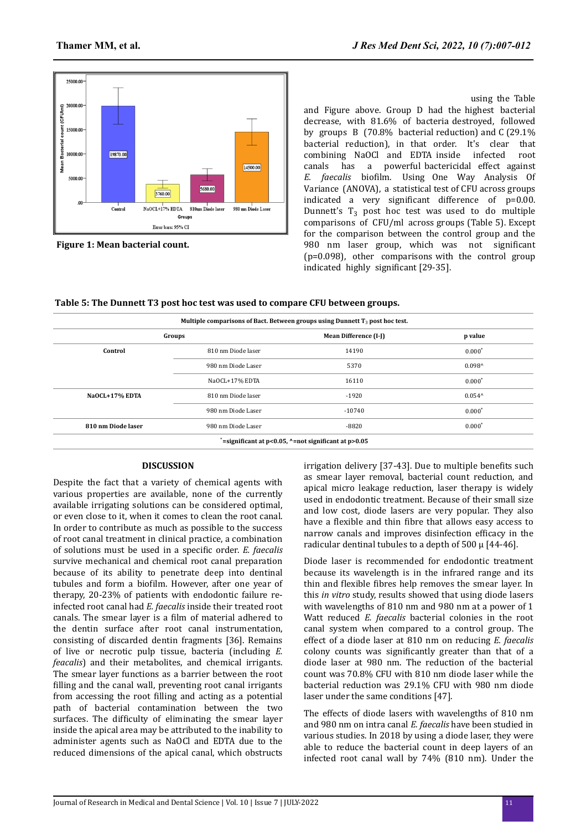

**Figure 1: Mean bacterial count.**

**To measure the bacterial decrease in each treated group, comparisons between the mean of a control group and**  the mean of treated groups may be doneing the Table and Figure above. Group D had the highest bacterial decrease, with 81.6% of bacteria destroyed, followed by groups B (70.8% bacterial reduction) and C (29.1% bacterial reduction), in that order. It's clear that combining NaOCl and EDTA inside infected root combining NaOCl and EDTA inside infected canals has a powerful bactericidal effect against *E. faecalis* biofilm. Using One Way Analysis Of Variance (ANOVA), a statistical test of CFU across groups indicated a very significant difference of p=0.00. Dunnett's  $T_3$  post hoc test was used to do multiple comparisons of CFU/ml across groups (Table 5). Except for the comparison between the control group and the 980 nm laser group, which was not significant (p=0.098), other comparisons with the control group indicated highly significant [29-35].

|                    | Multiple comparisons of Bact. Between groups using Dunnett $T_3$ post hoc test. |                                                            |                 |  |  |  |
|--------------------|---------------------------------------------------------------------------------|------------------------------------------------------------|-----------------|--|--|--|
|                    | Groups                                                                          | Mean Difference (I-J)                                      | p value         |  |  |  |
| Control            | 810 nm Diode laser                                                              | 14190                                                      | $0.000*$        |  |  |  |
|                    | 980 nm Diode Laser                                                              | 5370                                                       | $0.098^{\circ}$ |  |  |  |
|                    | NaOCL+17% EDTA                                                                  | 16110                                                      | $0.000*$        |  |  |  |
| NaOCL+17% EDTA     | 810 nm Diode laser                                                              | $-1920$                                                    | $0.054^{\circ}$ |  |  |  |
|                    | 980 nm Diode Laser                                                              | $-10740$                                                   | $0.000*$        |  |  |  |
| 810 nm Diode laser | 980 nm Diode Laser                                                              | $-8820$                                                    | $0.000*$        |  |  |  |
|                    |                                                                                 | $*$ =significant at p<0.05, $*$ =not significant at p>0.05 |                 |  |  |  |

## **DISCUSSION**

Despite the fact that a variety of chemical agents with various properties are available, none of the currently available irrigating solutions can be considered optimal, or even close to it, when it comes to clean the root canal. In order to contribute as much as possible to the success of root canal treatment in clinical practice, a combination of solutions must be used in a specific order. *E. faecalis* survive mechanical and chemical root canal preparation because of its ability to penetrate deep into dentinal tubules and form a biofilm. However, after one year of therapy, 20-23% of patients with endodontic failure reinfected root canal had *E. faecalis* inside their treated root canals. The smear layer is a film of material adhered to the dentin surface after root canal instrumentation, consisting of discarded dentin fragments [36]. Remains of live or necrotic pulp tissue, bacteria (including *E. feacalis*) and their metabolites, and chemical irrigants. The smear layer functions as a barrier between the root filling and the canal wall, preventing root canal irrigants from accessing the root filling and acting as a potential path of bacterial contamination between the two surfaces. The difficulty of eliminating the smear layer inside the apical area may be attributed to the inability to administer agents such as NaOCl and EDTA due to the reduced dimensions of the apical canal, which obstructs irrigation delivery [37-43]. Due to multiple benefits such as smear layer removal, bacterial count reduction, and apical micro leakage reduction, laser therapy is widely used in endodontic treatment. Because of their small size and low cost, diode lasers are very popular. They also have a flexible and thin fibre that allows easy access to narrow canals and improves disinfection efficacy in the radicular dentinal tubules to a depth of 500  $\mu$  [44-46].

Diode laser is recommended for endodontic treatment because its wavelength is in the infrared range and its thin and flexible fibres help removes the smear layer. In this *in vitro* study, results showed that using diode lasers with wavelengths of 810 nm and 980 nm at a power of 1 Watt reduced *E. faecalis* bacterial colonies in the root canal system when compared to a control group. The effect of a diode laser at 810 nm on reducing *E. faecalis* colony counts was significantly greater than that of a diode laser at 980 nm. The reduction of the bacterial count was 70.8% CFU with 810 nm diode laser while the bacterial reduction was 29.1% CFU with 980 nm diode laser under the same conditions [47].

The effects of diode lasers with wavelengths of 810 nm and 980 nm on intra canal *E. faecalis* have been studied in various studies. In 2018 by using a diode laser, they were able to reduce the bacterial count in deep layers of an infected root canal wall by 74% (810 nm). Under the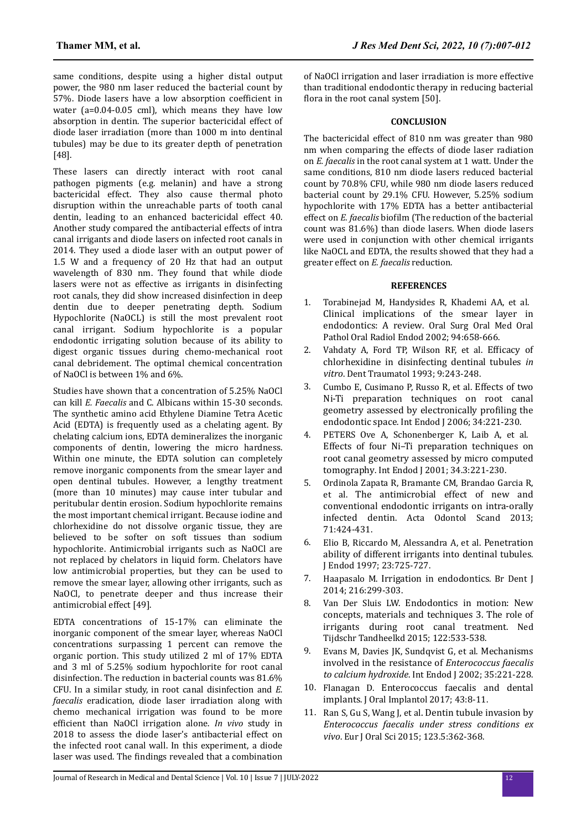same conditions, despite using a higher distal output power, the 980 nm laser reduced the bacterial count by 57%. Diode lasers have a low absorption coefficient in water (a=0.04-0.05 cml), which means they have low absorption in dentin. The superior bactericidal effect of diode laser irradiation (more than 1000 m into dentinal tubules) may be due to its greater depth of penetration [48].

These lasers can directly interact with root canal pathogen pigments (e.g. melanin) and have a strong bactericidal effect. They also cause thermal photo disruption within the unreachable parts of tooth canal dentin, leading to an enhanced bactericidal effect 40. Another study compared the antibacterial effects of intra canal irrigants and diode lasers on infected root canals in 2014. They used a diode laser with an output power of 1.5 W and a frequency of 20 Hz that had an output wavelength of 830 nm. They found that while diode lasers were not as effective as irrigants in disinfecting root canals, they did show increased disinfection in deep dentin due to deeper penetrating depth. Sodium Hypochlorite (NaOCL) is still the most prevalent root canal irrigant. Sodium hypochlorite is a popular endodontic irrigating solution because of its ability to digest organic tissues during chemo-mechanical root canal debridement. The optimal chemical concentration of NaOCl is between 1% and 6%.

Studies have shown that a concentration of 5.25% NaOCl can kill *E. Faecalis* and C. Albicans within 15-30 seconds. The synthetic amino acid Ethylene Diamine Tetra Acetic Acid (EDTA) is frequently used as a chelating agent. By chelating calcium ions, EDTA demineralizes the inorganic components of dentin, lowering the micro hardness. Within one minute, the EDTA solution can completely remove inorganic components from the smear layer and open dentinal tubules. However, a lengthy treatment (more than 10 minutes) may cause inter tubular and peritubular dentin erosion. Sodium hypochlorite remains the most important chemical irrigant. Because iodine and chlorhexidine do not dissolve organic tissue, they are believed to be softer on soft tissues than sodium hypochlorite. Antimicrobial irrigants such as NaOCl are not replaced by chelators in liquid form. Chelators have low antimicrobial properties, but they can be used to remove the smear layer, allowing other irrigants, such as NaOCl, to penetrate deeper and thus increase their antimicrobial effect [49].

EDTA concentrations of 15-17% can eliminate the inorganic component of the smear layer, whereas NaOCl concentrations surpassing 1 percent can remove the organic portion. This study utilized 2 ml of 17% EDTA and 3 ml of 5.25% sodium hypochlorite for root canal disinfection. The reduction in bacterial counts was 81.6% CFU. In a similar study, in root canal disinfection and *E. faecalis* eradication, diode laser irradiation along with chemo mechanical irrigation was found to be more efficient than NaOCl irrigation alone. *In vivo* study in 2018 to assess the diode laser's antibacterial effect on the infected root canal wall. In this experiment, a diode laser was used. The findings revealed that a combination

of NaOCl irrigation and laser irradiation is more effective than traditional endodontic therapy in reducing bacterial flora in the root canal system [50].

# **CONCLUSION**

The bactericidal effect of 810 nm was greater than 980 nm when comparing the effects of diode laser radiation on *E. faecalis* in the root canal system at 1 watt. Under the same conditions, 810 nm diode lasers reduced bacterial count by 70.8% CFU, while 980 nm diode lasers reduced bacterial count by 29.1% CFU. However, 5.25% sodium hypochlorite with 17% EDTA has a better antibacterial effect on *E. faecalis* biofilm (The reduction of the bacterial count was 81.6%) than diode lasers. When diode lasers were used in conjunction with other chemical irrigants like NaOCL and EDTA, the results showed that they had a greater effect on *E. faecalis* reduction.

## **REFERENCES**

- 1. Torabinejad M, Handysides R, Khademi AA, et al. [Clinical implications of the smear layer in](https://www.sciencedirect.com/science/article/abs/pii/S1079210402003335?via%3Dihub) [endodontics: A review](https://www.sciencedirect.com/science/article/abs/pii/S1079210402003335?via%3Dihub). Oral Surg Oral Med Oral Pathol Oral Radiol Endod 2002; 94:658-666.
- 2. Vahdaty A, Ford TP, Wilson RF, et al. Efficacy of [chlorhexidine in disinfecting dentinal tubules](https://onlinelibrary.wiley.com/doi/10.1111/j.1600-9657.1993.tb00280.x) *in [vitro](https://onlinelibrary.wiley.com/doi/10.1111/j.1600-9657.1993.tb00280.x)*. Dent Traumatol 1993; 9:243-248.
- 3. Cumbo E, Cusimano P, Russo R, et al. [Effects of two](https://onlinelibrary.wiley.com/doi/abs/10.1046/j.1365-2591.2001.00373.x) [Ni-Ti preparation techniques on root canal](https://onlinelibrary.wiley.com/doi/abs/10.1046/j.1365-2591.2001.00373.x) [geometry assessed by electronically](https://onlinelibrary.wiley.com/doi/abs/10.1046/j.1365-2591.2001.00373.x) profiling the [endodontic space](https://onlinelibrary.wiley.com/doi/abs/10.1046/j.1365-2591.2001.00373.x). Int Endod J 2006; 34:221-230.
- 4. PETERS Ove A, Schonenberger K, Laib A, et al. [Effects of four Ni–Ti preparation techniques on](https://onlinelibrary.wiley.com/doi/abs/10.1046/j.1365-2591.2001.00373.x) [root canal geometry assessed by micro computed](https://onlinelibrary.wiley.com/doi/abs/10.1046/j.1365-2591.2001.00373.x) [tomography](https://onlinelibrary.wiley.com/doi/abs/10.1046/j.1365-2591.2001.00373.x). Int Endod J 2001; 34.3:221-230.
- 5. Ordinola Zapata R, Bramante CM, Brandao Garcia R, et al. [The antimicrobial effect of new and](https://www.tandfonline.com/doi/abs/10.3109/00016357.2012.690531?journalCode=iode20) [conventional endodontic irrigants on intra-orally](https://www.tandfonline.com/doi/abs/10.3109/00016357.2012.690531?journalCode=iode20) [infected dentin](https://www.tandfonline.com/doi/abs/10.3109/00016357.2012.690531?journalCode=iode20). Acta Odontol Scand 2013; 71:424-431.
- 6. Elio B, Riccardo M, Alessandra A, et al. [Penetration](https://www.sciencedirect.com/science/article/abs/pii/S0099239997803421?via%3Dihub) [ability of different irrigants into dentinal tubules](https://www.sciencedirect.com/science/article/abs/pii/S0099239997803421?via%3Dihub). J Endod 1997; 23:725-727.
- 7. Haapasalo M. [Irrigation in endodontics](https://www.nature.com/articles/sj.bdj.2014.204). Br Dent J 2014; 216:299-303.
- 8. Van Der Sluis LW. [Endodontics in motion: New](https://www.ntvt.nl/tijdschrift/editie/artikel/t/endodontologie-in-beweging-nieuwe-concepten-materialen-en-technieken-3-de-rol-van-activatie-van-wortelkanaalspoelmiddelen-tijdens-de-wortelkanaalbehandeling) [concepts, materials and techniques 3. The role of](https://www.ntvt.nl/tijdschrift/editie/artikel/t/endodontologie-in-beweging-nieuwe-concepten-materialen-en-technieken-3-de-rol-van-activatie-van-wortelkanaalspoelmiddelen-tijdens-de-wortelkanaalbehandeling) [irrigants during root canal treatment](https://www.ntvt.nl/tijdschrift/editie/artikel/t/endodontologie-in-beweging-nieuwe-concepten-materialen-en-technieken-3-de-rol-van-activatie-van-wortelkanaalspoelmiddelen-tijdens-de-wortelkanaalbehandeling). Ned Tijdschr Tandheelkd 2015; 122:533-538.
- 9. Evans M, Davies JK, Sundqvist G, et al. [Mechanisms](https://onlinelibrary.wiley.com/doi/abs/10.1046/j.1365-2591.2002.00504.x) [involved in the resistance of](https://onlinelibrary.wiley.com/doi/abs/10.1046/j.1365-2591.2002.00504.x) *Enterococcus faecalis [to calcium hydroxide](https://onlinelibrary.wiley.com/doi/abs/10.1046/j.1365-2591.2002.00504.x)*. Int Endod J 2002; 35:221-228.
- 10. Flanagan D. [Enterococcus faecalis and dental](https://meridian.allenpress.com/joi/article/43/1/8/7384/Enterococcus-faecalis-and-Dental-Implants) [implants](https://meridian.allenpress.com/joi/article/43/1/8/7384/Enterococcus-faecalis-and-Dental-Implants). J Oral Implantol 2017; 43:8-11.
- 11. Ran S, Gu S, Wang J, et al[. Dentin tubule invasion by](https://onlinelibrary.wiley.com/doi/10.1111/eos.12202) *[Enterococcus faecalis under stress conditions ex](https://onlinelibrary.wiley.com/doi/10.1111/eos.12202) [vivo](https://onlinelibrary.wiley.com/doi/10.1111/eos.12202)*. Eur J Oral Sci 2015; 123.5:362-368.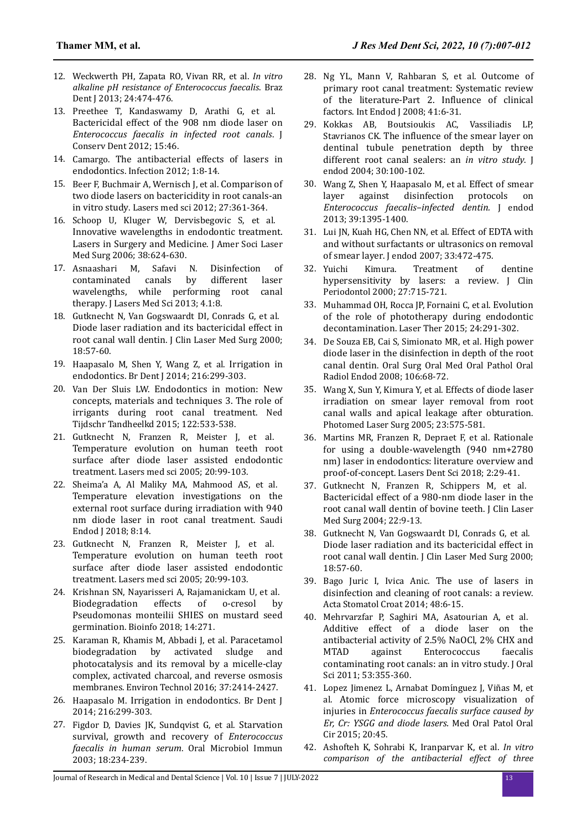- 12. Weckwerth PH, Zapata RO, Vivan RR, et al. *In vitro alkaline pH resistance of Enterococcus faecalis*. Braz Dent J 2013; 24:474-476.
- 13. Preethee T, Kandaswamy D, Arathi G, et al. [Bactericidal effect of the 908 nm diode laser on](https://www.jcd.org.in/article.asp?issn=0972-0707;year=2012;volume=15;issue=1;spage=46;epage=50;aulast=Preethee) *[Enterococcus faecalis in infected root canals](https://www.jcd.org.in/article.asp?issn=0972-0707;year=2012;volume=15;issue=1;spage=46;epage=50;aulast=Preethee)*. J Conserv Dent 2012; 15:46.
- 14. Camargo. [The antibacterial effects of lasers in](https://www.dtstudyclub.com/wp-content/uploads/2015/06/0da221bf4633a7769aee41b26f8c51ef_16-21.pdf) [endodontics](https://www.dtstudyclub.com/wp-content/uploads/2015/06/0da221bf4633a7769aee41b26f8c51ef_16-21.pdf). Infection 2012; 1:8-14.
- 15. Beer F, Buchmair A, Wernisch J, et al. [Comparison of](https://link.springer.com/article/10.1007/s10103-011-0884-3) [two diode lasers on bactericidity in root canals-an](https://link.springer.com/article/10.1007/s10103-011-0884-3) [in vitro study](https://link.springer.com/article/10.1007/s10103-011-0884-3). Lasers med sci 2012; 27:361-364.
- 16. Schoop U, Kluger W, Dervisbegovic S, et al. [Innovative wavelengths in endodontic treatment.](https://onlinelibrary.wiley.com/doi/10.1002/lsm.20331) [Lasers in Surgery and Medicine](https://onlinelibrary.wiley.com/doi/10.1002/lsm.20331). J Amer Soci Laser Med Surg 2006; 38:624-630.
- 17. Asnaashari M, Safavi N. [Disinfection of](https://www.proquest.com/openview/a63d6bd0e7eb239c1c7c2ca275d8f537/1?pq-origsite=gscholar&cbl=1626339) [contaminated canals by different laser](https://www.proquest.com/openview/a63d6bd0e7eb239c1c7c2ca275d8f537/1?pq-origsite=gscholar&cbl=1626339) [wavelengths, while performing root canal](https://www.proquest.com/openview/a63d6bd0e7eb239c1c7c2ca275d8f537/1?pq-origsite=gscholar&cbl=1626339) [therapy](https://www.proquest.com/openview/a63d6bd0e7eb239c1c7c2ca275d8f537/1?pq-origsite=gscholar&cbl=1626339). J Lasers Med Sci 2013; 4.1:8.
- 18. Gutknecht N, Van Gogswaardt DI, Conrads G, et al. [Diode laser radiation and its bactericidal effect in](https://www.liebertpub.com/doi/10.1089/clm.2000.18.57) [root canal wall dentin](https://www.liebertpub.com/doi/10.1089/clm.2000.18.57). J Clin Laser Med Surg 2000; 18:57-60.
- 19. Haapasalo M, Shen Y, Wang Z, et al. [Irrigation in](https://www.nature.com/articles/sj.bdj.2014.204) [endodontics](https://www.nature.com/articles/sj.bdj.2014.204). Br Dent J 2014; 216:299-303.
- 20. Van Der Sluis LW. [Endodontics in motion: New](https://www.ntvt.nl/tijdschrift/editie/artikel/t/endodontologie-in-beweging-nieuwe-concepten-materialen-en-technieken-3-de-rol-van-activatie-van-wortelkanaalspoelmiddelen-tijdens-de-wortelkanaalbehandeling) [concepts, materials and techniques 3. The role of](https://www.ntvt.nl/tijdschrift/editie/artikel/t/endodontologie-in-beweging-nieuwe-concepten-materialen-en-technieken-3-de-rol-van-activatie-van-wortelkanaalspoelmiddelen-tijdens-de-wortelkanaalbehandeling) [irrigants during root canal treatment](https://www.ntvt.nl/tijdschrift/editie/artikel/t/endodontologie-in-beweging-nieuwe-concepten-materialen-en-technieken-3-de-rol-van-activatie-van-wortelkanaalspoelmiddelen-tijdens-de-wortelkanaalbehandeling). Ned Tijdschr Tandheelkd 2015; 122:533-538.
- 21. Gutknecht N, Franzen R, Meister J, et al. [Temperature evolution on human teeth root](https://link.springer.com/article/10.1007/s10103-005-0347-9) [surface after diode laser assisted endodontic](https://link.springer.com/article/10.1007/s10103-005-0347-9) [treatment](https://link.springer.com/article/10.1007/s10103-005-0347-9). Lasers med sci 2005; 20:99-103.
- 22. Sheima'a A, Al Maliky MA, Mahmood AS, et al. [Temperature elevation investigations on the](https://www.saudiendodj.com/article.asp?issn=1658-5984;year=2018;volume=8;issue=1;spage=14;epage=18;aulast=Al-Zand) [external root surface during irradiation with 940](https://www.saudiendodj.com/article.asp?issn=1658-5984;year=2018;volume=8;issue=1;spage=14;epage=18;aulast=Al-Zand) [nm diode laser in root canal treatment](https://www.saudiendodj.com/article.asp?issn=1658-5984;year=2018;volume=8;issue=1;spage=14;epage=18;aulast=Al-Zand). Saudi Endod J 2018; 8:14.
- 23. Gutknecht N, Franzen R, Meister J, et al. [Temperature evolution on human teeth root](https://pubmed.ncbi.nlm.nih.gov/16007476/) [surface after diode laser assisted endodontic](https://pubmed.ncbi.nlm.nih.gov/16007476/) [treatment](https://pubmed.ncbi.nlm.nih.gov/16007476/). Lasers med sci 2005; 20:99-103.
- 24. Krishnan SN, Nayarisseri A, Rajamanickam U, et al. [Biodegradation effects of o-cresol by](http://www.bioinformation.net/014/97320630014271.htm) [Pseudomonas monteilii SHIES on mustard seed](http://www.bioinformation.net/014/97320630014271.htm) [germination](http://www.bioinformation.net/014/97320630014271.htm). Bioinfo 2018; 14:271.
- 25. Karaman R, Khamis M, Abbadi J, et al. [Paracetamol](https://www.tandfonline.com/doi/abs/10.1080/09593330.2016.1150355?journalCode=tent20) [biodegradation by activated sludge and](https://www.tandfonline.com/doi/abs/10.1080/09593330.2016.1150355?journalCode=tent20) [photocatalysis and its removal by a micelle-clay](https://www.tandfonline.com/doi/abs/10.1080/09593330.2016.1150355?journalCode=tent20) [complex, activated charcoal, and reverse osmosis](https://www.tandfonline.com/doi/abs/10.1080/09593330.2016.1150355?journalCode=tent20) [membranes](https://www.tandfonline.com/doi/abs/10.1080/09593330.2016.1150355?journalCode=tent20). Environ Technol 2016; 37:2414-2427.
- 26. Haapasalo M. [Irrigation in endodontics](https://www.nature.com/articles/sj.bdj.2014.204). Br Dent J 2014; 216:299-303.
- 27. Figdor D, Davies JK, Sundqvist G, et al. [Starvation](https://onlinelibrary.wiley.com/doi/abs/10.1034/j.1399-302X.2003.00072.x) [survival, growth and recovery of](https://onlinelibrary.wiley.com/doi/abs/10.1034/j.1399-302X.2003.00072.x) *Enterococcus [faecalis in human serum](https://onlinelibrary.wiley.com/doi/abs/10.1034/j.1399-302X.2003.00072.x)*. Oral Microbiol Immun 2003; 18:234-239.
- 28. Ng YL, Mann V, Rahbaran S, et al. [Outcome of](https://onlinelibrary.wiley.com/doi/10.1111/j.1365-2591.2007.01323.x) [primary root canal treatment: Systematic review](https://onlinelibrary.wiley.com/doi/10.1111/j.1365-2591.2007.01323.x) [of the literature-Part 2.](https://onlinelibrary.wiley.com/doi/10.1111/j.1365-2591.2007.01323.x) Influence of clinical [factors](https://onlinelibrary.wiley.com/doi/10.1111/j.1365-2591.2007.01323.x). Int Endod J 2008; 41:6-31.
- 29. Kokkas AB, Boutsioukis AC, Vassiliadis LP, Stavrianos CK. The influence [of the smear layer on](https://linkinghub.elsevier.com/retrieve/pii/S0099239905602968) [dentinal tubule penetration depth by three](https://linkinghub.elsevier.com/retrieve/pii/S0099239905602968) [different root canal sealers: an](https://linkinghub.elsevier.com/retrieve/pii/S0099239905602968) *in vitro study*. J endod 2004; 30:100-102.
- 30. Wang Z, Shen Y, Haapasalo M, et al. [Effect of smear](https://linkinghub.elsevier.com/retrieve/pii/S0099239913006213) [layer against disinfection protocols on](https://linkinghub.elsevier.com/retrieve/pii/S0099239913006213) *[Enterococcus faecalis–infected dentin.](https://linkinghub.elsevier.com/retrieve/pii/S0099239913006213)* J endod 2013; 39:1395-1400.
- 31. Lui JN, Kuah HG, Chen NN, et al. [Effect of EDTA with](https://linkinghub.elsevier.com/retrieve/pii/S0099239906012271) [and without surfactants or ultrasonics on removal](https://linkinghub.elsevier.com/retrieve/pii/S0099239906012271) [of smear layer](https://linkinghub.elsevier.com/retrieve/pii/S0099239906012271). J endod 2007; 33:472-475.
- 32. Yuichi Kimura. [Treatment of dentine](https://onlinelibrary.wiley.com/doi/abs/10.1034/j.1600-051x.2000.027010715.x) [hypersensitivity by lasers: a review](https://onlinelibrary.wiley.com/doi/abs/10.1034/j.1600-051x.2000.027010715.x). J Clin Periodontol 2000; 27:715-721.
- 33. Muhammad OH, Rocca JP, Fornaini C, et al. [Evolution](https://www.jstage.jst.go.jp/article/islsm/24/4/24_15-OR-18/_article) [of the role of phototherapy during endodontic](https://www.jstage.jst.go.jp/article/islsm/24/4/24_15-OR-18/_article) [decontamination](https://www.jstage.jst.go.jp/article/islsm/24/4/24_15-OR-18/_article). Laser Ther 2015; 24:291-302.
- 34. De Souza EB, Cai S, Simionato MR, et al. [High power](https://linkinghub.elsevier.com/retrieve/pii/S1079210408002163) [diode laser in the disinfection in depth of the root](https://linkinghub.elsevier.com/retrieve/pii/S1079210408002163) [canal dentin](https://linkinghub.elsevier.com/retrieve/pii/S1079210408002163). Oral Surg Oral Med Oral Pathol Oral Radiol Endod 2008; 106:68-72.
- 35. Wang X, Sun Y, Kimura Y, et al. [Effects of diode laser](https://www.liebertpub.com/doi/10.1089/pho.2005.23.575) [irradiation on smear layer removal from root](https://www.liebertpub.com/doi/10.1089/pho.2005.23.575) [canal walls and apical leakage after obturation](https://www.liebertpub.com/doi/10.1089/pho.2005.23.575). Photomed Laser Surg 2005; 23:575-581.
- 36. Martins MR, Franzen R, Depraet F, et al. [Rationale](https://link.springer.com/article/10.1007/s41547-017-0017-9) [for using a double-wavelength \(940 nm+2780](https://link.springer.com/article/10.1007/s41547-017-0017-9) [nm\) laser in endodontics: literature overview and](https://link.springer.com/article/10.1007/s41547-017-0017-9) [proof-of-concept](https://link.springer.com/article/10.1007/s41547-017-0017-9). Lasers Dent Sci 2018; 2:29-41.
- 37. Gutknecht N, Franzen R, Schippers M, et al. [Bactericidal effect of a 980-nm diode laser in the](https://www.liebertpub.com/doi/10.1089/104454704773660912) [root canal wall dentin of bovine teeth](https://www.liebertpub.com/doi/10.1089/104454704773660912). J Clin Laser Med Surg 2004; 22:9-13.
- 38. Gutknecht N, Van Gogswaardt DI, Conrads G, et al. [Diode laser radiation and its bactericidal effect in](https://www.liebertpub.com/doi/10.1089/clm.2000.18.57) [root canal wall dentin](https://www.liebertpub.com/doi/10.1089/clm.2000.18.57). J Clin Laser Med Surg 2000; 18:57-60.
- 39. Bago Juric I, Ivica Anic. [The use of lasers in](https://hrcak.srce.hr/file/174170) [disinfection and cleaning of root canals: a review](https://hrcak.srce.hr/file/174170). Acta Stomatol Croat 2014; 48:6-15.
- 40. Mehrvarzfar P, Saghiri MA, Asatourian A, et al. [Additive effect of a diode laser on the](https://www.jstage.jst.go.jp/article/josnusd/53/3/53_3_355/_article) [antibacterial activity of 2.5% NaOCl, 2% CHX and](https://www.jstage.jst.go.jp/article/josnusd/53/3/53_3_355/_article) [MTAD against Enterococcus faecalis](https://www.jstage.jst.go.jp/article/josnusd/53/3/53_3_355/_article) [contaminating root canals: an in vitro study](https://www.jstage.jst.go.jp/article/josnusd/53/3/53_3_355/_article). J Oral Sci 2011; 53:355-360.
- 41. Lopez Jimenez L, Arnabat Domínguez J, Viñas M, et al. [Atomic force microscopy visualization of](http://www.medicinaoral.com/pubmed/medoralv20_i1_p45.pdf) injuries in *[Enterococcus faecalis surface caused by](http://www.medicinaoral.com/pubmed/medoralv20_i1_p45.pdf) [Er, Cr: YSGG and diode lasers.](http://www.medicinaoral.com/pubmed/medoralv20_i1_p45.pdf)* Med Oral Patol Oral Cir 2015; 20:45.
- 42. Ashofteh K, Sohrabi K, Iranparvar K, et al. *In vitro comparison of the antibacterial effect of three*